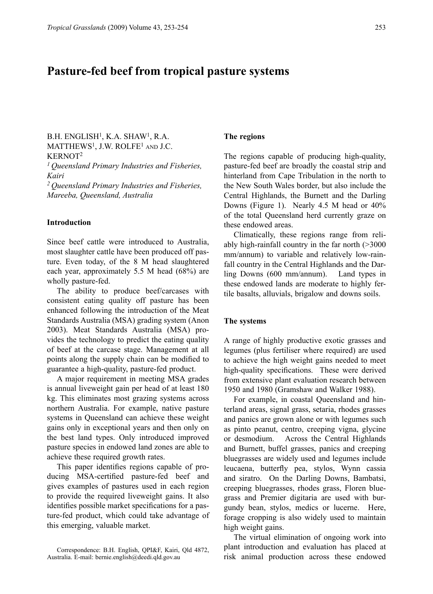# **Pasture-fed beef from tropical pasture systems**

 $B.H.$  ENGLISH<sup>1</sup>, K.A. SHAW<sup>1</sup>, R.A. MATTHEWS<sup>1</sup>, J.W. ROLFE<sup>1</sup> AND J.C. KERNOT2 *1 Queensland Primary Industries and Fisheries, Kairi* 

*2 Queensland Primary Industries and Fisheries, Mareeba, Queensland, Australia*

#### **Introduction**

Since beef cattle were introduced to Australia, most slaughter cattle have been produced off pasture. Even today, of the 8 M head slaughtered each year, approximately 5.5 M head (68%) are wholly pasture-fed.

The ability to produce beef/carcases with consistent eating quality off pasture has been enhanced following the introduction of the Meat Standards Australia (MSA) grading system (Anon 2003). Meat Standards Australia (MSA) provides the technology to predict the eating quality of beef at the carcase stage. Management at all points along the supply chain can be modified to guarantee a high-quality, pasture-fed product.

A major requirement in meeting MSA grades is annual liveweight gain per head of at least 180 kg. This eliminates most grazing systems across northern Australia. For example, native pasture systems in Queensland can achieve these weight gains only in exceptional years and then only on the best land types. Only introduced improved pasture species in endowed land zones are able to achieve these required growth rates.

This paper identifies regions capable of producing MSA-certified pasture-fed beef and gives examples of pastures used in each region to provide the required liveweight gains. It also identifies possible market specifications for a pasture-fed product, which could take advantage of this emerging, valuable market.

### **The regions**

The regions capable of producing high-quality, pasture-fed beef are broadly the coastal strip and hinterland from Cape Tribulation in the north to the New South Wales border, but also include the Central Highlands, the Burnett and the Darling Downs (Figure 1). Nearly 4.5 M head or 40% of the total Queensland herd currently graze on these endowed areas.

Climatically, these regions range from reliably high-rainfall country in the far north (>3000 mm/annum) to variable and relatively low-rainfall country in the Central Highlands and the Darling Downs (600 mm/annum). Land types in these endowed lands are moderate to highly fertile basalts, alluvials, brigalow and downs soils.

#### **The systems**

A range of highly productive exotic grasses and legumes (plus fertiliser where required) are used to achieve the high weight gains needed to meet high-quality specifications. These were derived from extensive plant evaluation research between 1950 and 1980 (Gramshaw and Walker 1988).

For example, in coastal Queensland and hinterland areas, signal grass, setaria, rhodes grasses and panics are grown alone or with legumes such as pinto peanut, centro, creeping vigna, glycine or desmodium. Across the Central Highlands and Burnett, buffel grasses, panics and creeping bluegrasses are widely used and legumes include leucaena, butterfly pea, stylos, Wynn cassia and siratro. On the Darling Downs, Bambatsi, creeping bluegrasses, rhodes grass, Floren bluegrass and Premier digitaria are used with burgundy bean, stylos, medics or lucerne. Here, forage cropping is also widely used to maintain high weight gains.

The virtual elimination of ongoing work into plant introduction and evaluation has placed at Correspondence: B.H. English, QPI&F, Kairi, Qld 4872, Peranti introduction and evaluation has placed at risk animal production across these endowed

Australia. E-mail: bernie.english@deedi.qld.gov.au